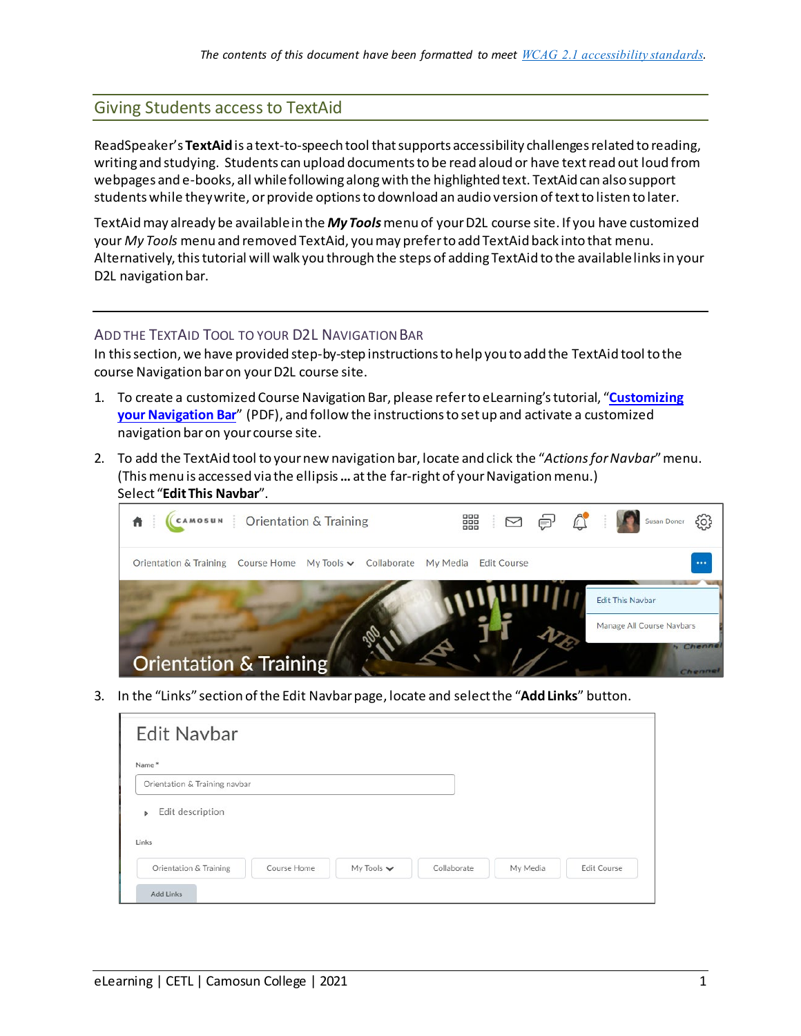## Giving Students access to TextAid

ReadSpeaker's **TextAid**is a text-to-speech tool that supports accessibility challenges related to reading, writing and studying. Students can upload documents to be read aloud or have text read out loud from webpages and e-books, all while following along with the highlighted text. TextAid can also support students while they write, or provide options to download an audio version of text to listen to later.

TextAid may already be available in the *My Tools*menu of your D2L course site. If you have customized your *My Tools* menu and removed TextAid, you may prefer to add TextAid back into that menu. Alternatively, this tutorial will walk you through the steps of adding TextAid to the available links in your D2L navigation bar.

## ADD THE TEXTAID TOOL TO YOUR D2L NAVIGATION BAR

In this section, we have provided step-by-step instructions to help you to add the TextAid tool to the course Navigation baron your D2L course site.

- 1. To create a customized Course Navigation Bar, please refer to eLearning's tutorial, "**[Customizing](https://elearningtutorialscamosun.opened.ca/wp-content/uploads/sites/1304/2020/03/CustomizeNavbar-Jan2020.pdf)  [your Navigation Bar](https://elearningtutorialscamosun.opened.ca/wp-content/uploads/sites/1304/2020/03/CustomizeNavbar-Jan2020.pdf)**" (PDF), and follow the instructions to set up and activate a customized navigation baron your course site.
- 2. To add the TextAid tool to your new navigation bar, locate and click the "*Actions for Navbar*" menu. (This menu is accessed via the ellipsis **…** at the far-right of your Navigation menu.) Select "**Edit This Navbar**".

| CAMOSUN   Orientation & Training                          | DDDDDD Susan Doner &<br>器                  |
|-----------------------------------------------------------|--------------------------------------------|
| Orientation & Training Course Home My Tools v Collaborate | My Media<br>$\cdots$<br><b>Edit Course</b> |
|                                                           | <b>Edit This Navbar</b>                    |
|                                                           | Manage All Course Navbars                  |
| <b>Orientation &amp; Training</b>                         | Chenne                                     |

3. In the "Links" section of the Edit Navbar page, locate and select the "**Add Links**" button.

| <b>Edit Navbar</b>            |  |  |  |
|-------------------------------|--|--|--|
| Name*                         |  |  |  |
| Orientation & Training navbar |  |  |  |
|                               |  |  |  |
| 92173<br>Links                |  |  |  |